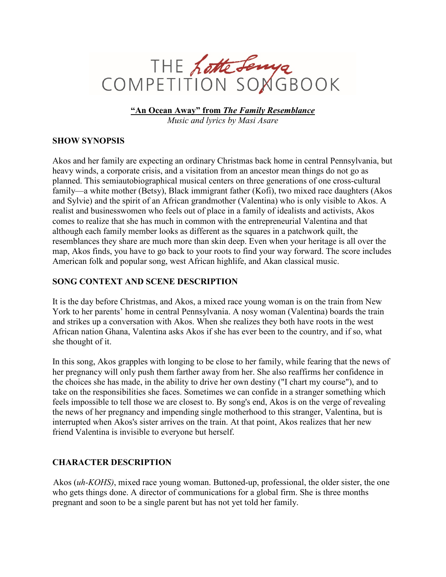

**"An Ocean Away" from** *The Family Resemblance Music and lyrics by Masi Asare*

## **SHOW SYNOPSIS**

Akos and her family are expecting an ordinary Christmas back home in central Pennsylvania, but heavy winds, a corporate crisis, and a visitation from an ancestor mean things do not go as planned. This semiautobiographical musical centers on three generations of one cross-cultural family—a white mother (Betsy), Black immigrant father (Kofi), two mixed race daughters (Akos and Sylvie) and the spirit of an African grandmother (Valentina) who is only visible to Akos. A realist and businesswomen who feels out of place in a family of idealists and activists, Akos comes to realize that she has much in common with the entrepreneurial Valentina and that although each family member looks as different as the squares in a patchwork quilt, the resemblances they share are much more than skin deep. Even when your heritage is all over the map, Akos finds, you have to go back to your roots to find your way forward. The score includes American folk and popular song, west African highlife, and Akan classical music.

## **SONG CONTEXT AND SCENE DESCRIPTION**

It is the day before Christmas, and Akos, a mixed race young woman is on the train from New York to her parents' home in central Pennsylvania. A nosy woman (Valentina) boards the train and strikes up a conversation with Akos. When she realizes they both have roots in the west African nation Ghana, Valentina asks Akos if she has ever been to the country, and if so, what she thought of it.

In this song, Akos grapples with longing to be close to her family, while fearing that the news of her pregnancy will only push them farther away from her. She also reaffirms her confidence in the choices she has made, in the ability to drive her own destiny ("I chart my course"), and to take on the responsibilities she faces. Sometimes we can confide in a stranger something which feels impossible to tell those we are closest to. By song's end, Akos is on the verge of revealing the news of her pregnancy and impending single motherhood to this stranger, Valentina, but is interrupted when Akos's sister arrives on the train. At that point, Akos realizes that her new friend Valentina is invisible to everyone but herself.

## **CHARACTER DESCRIPTION**

Akos (*uh-KOHS)*, mixed race young woman. Buttoned-up, professional, the older sister, the one who gets things done. A director of communications for a global firm. She is three months pregnant and soon to be a single parent but has not yet told her family.